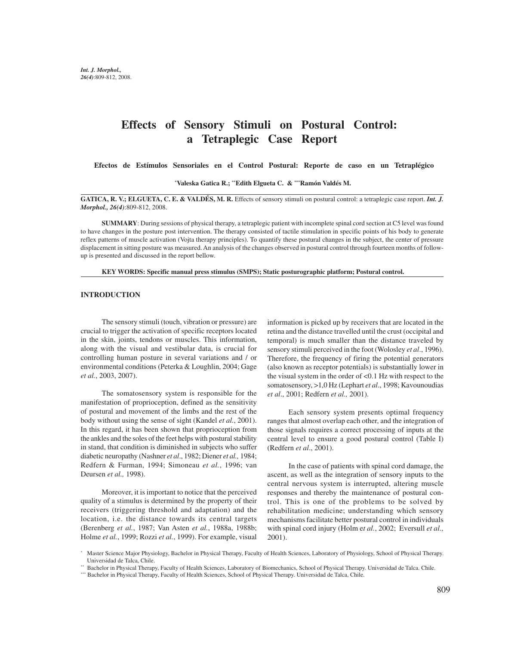# **Effects of Sensory Stimuli on Postural Control: a Tetraplegic Case Report**

 **Efectos de Estímulos Sensoriales en el Control Postural: Reporte de caso en un Tetraplégico**

**\* Valeska Gatica R.; \*\*Edith Elgueta C. & \*\*\*Ramón Valdés M.**

**GATICA, R. V.; ELGUETA, C. E. & VALDÉS, M. R.** Effects of sensory stimuli on postural control: a tetraplegic case report. *Int. J. Morphol., 26(4)*:809-812, 2008.

**SUMMARY**: During sessions of physical therapy, a tetraplegic patient with incomplete spinal cord section at C5 level was found to have changes in the posture post intervention. The therapy consisted of tactile stimulation in specific points of his body to generate reflex patterns of muscle activation (Vojta therapy principles). To quantify these postural changes in the subject, the center of pressure displacement in sitting posture was measured. An analysis of the changes observed in postural control through fourteen months of followup is presented and discussed in the report bellow.

**KEY WORDS: Specific manual press stimulus (SMPS); Static posturographic platform; Postural control.**

## **INTRODUCTION**

The sensory stimuli (touch, vibration or pressure) are crucial to trigger the activation of specific receptors located in the skin, joints, tendons or muscles. This information, along with the visual and vestibular data, is crucial for controlling human posture in several variations and / or environmental conditions (Peterka & Loughlin, 2004; Gage *et al.*, 2003, 2007).

The somatosensory system is responsible for the manifestation of proprioception, defined as the sensitivity of postural and movement of the limbs and the rest of the body without using the sense of sight (Kandel *et al.*, 2001). In this regard, it has been shown that proprioception from the ankles and the soles of the feet helps with postural stability in stand, that condition is diminished in subjects who suffer diabetic neuropathy (Nashner *et al*., 1982; Diener *et al.,* 1984; Redfern & Furman, 1994; Simoneau *et al.*, 1996; van Deursen *et al.,* 1998).

Moreover, it is important to notice that the perceived quality of a stimulus is determined by the property of their receivers (triggering threshold and adaptation) and the location, i.e. the distance towards its central targets (Berenberg *et al.*, 1987; Van Asten *et al.*, 1988a, 1988b; Holme *et al.*, 1999; Rozzi *et al.*, 1999). For example, visual

information is picked up by receivers that are located in the retina and the distance travelled until the crust (occipital and temporal) is much smaller than the distance traveled by sensory stimuli perceived in the foot (Wolosley *et al*., 1996). Therefore, the frequency of firing the potential generators (also known as receptor potentials) is substantially lower in the visual system in the order of <0.1 Hz with respect to the somatosensory, >1,0 Hz (Lephart *et al*., 1998; Kavounoudias *et al*., 2001; Redfern *et al.,* 2001).

Each sensory system presents optimal frequency ranges that almost overlap each other, and the integration of those signals requires a correct processing of inputs at the central level to ensure a good postural control (Table I) (Redfern *et al*., 2001).

In the case of patients with spinal cord damage, the ascent, as well as the integration of sensory inputs to the central nervous system is interrupted, altering muscle responses and thereby the maintenance of postural control. This is one of the problems to be solved by rehabilitation medicine; understanding which sensory mechanisms facilitate better postural control in individuals with spinal cord injury (Holm e*t al.*, 2002; Eversull *et al.,* 2001).

<sup>\*</sup> Master Science Major Physiology, Bachelor in Physical Therapy, Faculty of Health Sciences, Laboratory of Physiology, School of Physical Therapy. Universidad de Talca, Chile.

<sup>\*\*</sup> Bachelor in Physical Therapy, Faculty of Health Sciences, Laboratory of Biomechanics, School of Physical Therapy. Universidad de Talca. Chile.

<sup>\*\*\*</sup> Bachelor in Physical Therapy, Faculty of Health Sciences, School of Physical Therapy. Universidad de Talca, Chile.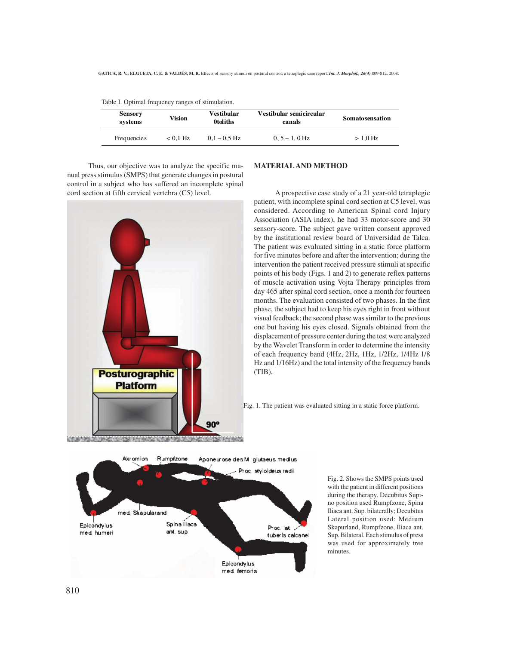| <b>Sensory</b><br>systems | Vision     | Vestibular<br><b>Otoliths</b> | Vestibular semicircular<br>canals | <b>Somatosensation</b> |
|---------------------------|------------|-------------------------------|-----------------------------------|------------------------|
| Frequencie s              | $< 0.1$ Hz | $0.1 - 0.5$ Hz                | $0.5 - 1.0$ Hz                    | $>1.0$ Hz              |

Table I. Optimal frequency ranges of stimulation.

Thus, our objective was to analyze the specific manual press stimulus (SMPS) that generate changes in postural control in a subject who has suffered an incomplete spinal cord section at fifth cervical vertebra (C5) level.



## **MATERIAL AND METHOD**

A prospective case study of a 21 year-old tetraplegic patient, with incomplete spinal cord section at C5 level, was considered. According to American Spinal cord Injury Association (ASIA index), he had 33 motor-score and 30 sensory-score. The subject gave written consent approved by the institutional review board of Universidad de Talca. The patient was evaluated sitting in a static force platform for five minutes before and after the intervention; during the intervention the patient received pressure stimuli at specific points of his body (Figs. 1 and 2) to generate reflex patterns of muscle activation using Vojta Therapy principles from day 465 after spinal cord section, once a month for fourteen months. The evaluation consisted of two phases. In the first phase, the subject had to keep his eyes right in front without visual feedback; the second phase was similar to the previous one but having his eyes closed. Signals obtained from the displacement of pressure center during the test were analyzed by the Wavelet Transform in order to determine the intensity of each frequency band (4Hz, 2Hz, 1Hz, 1/2Hz, 1/4Hz 1/8 Hz and 1/16Hz) and the total intensity of the frequency bands (TIB).

Fig. 1. The patient was evaluated sitting in a static force platform.



Fig. 2. Shows the SMPS points used with the patient in different positions during the therapy. Decubitus Supino position used Rumpfzone, Spina Iliaca ant. Sup. bilaterally; Decubitus Lateral position used: Medium Skapurland, Rumpfzone, Iliaca ant. Sup. Bilateral. Each stimulus of press was used for approximately tree minutes.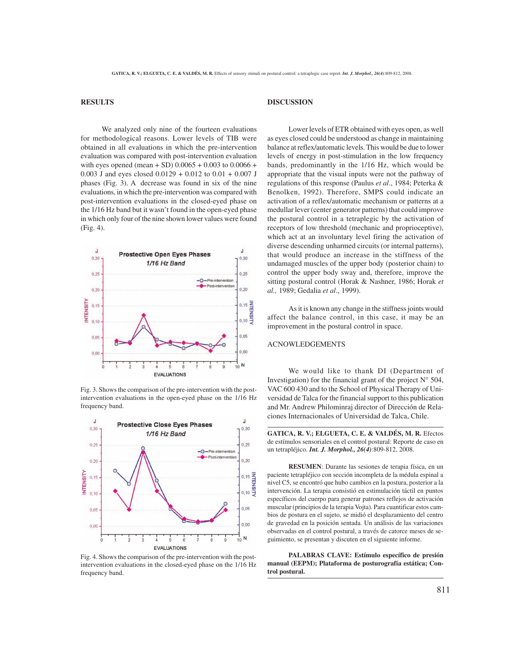## **RESULTS**

We analyzed only nine of the fourteen evaluations for methodological reasons. Lower levels of TIB were obtained in all evaluations in which the pre-intervention evaluation was compared with post-intervention evaluation with eyes opened (mean + SD)  $0.0065 + 0.003$  to  $0.0066 +$ 0.003 J and eyes closed 0.0129 + 0.012 to 0.01 + 0.007 J phases (Fig. 3). A decrease was found in six of the nine evaluations, in which the pre-intervention was compared with post-intervention evaluations in the closed-eyed phase on the 1/16 Hz band but it wasn't found in the open-eyed phase in which only four of the nine shown lower values were found (Fig. 4).



Fig. 3. Shows the comparison of the pre-intervention with the postintervention evaluations in the open-eyed phase on the 1/16 Hz frequency band.



Fig. 4. Shows the comparison of the pre-intervention with the postintervention evaluations in the closed-eyed phase on the 1/16 Hz frequency band.

# **DISCUSSION**

Lower levels of ETR obtained with eyes open, as well as eyes closed could be understood as change in maintaining balance at reflex/automatic levels. This would be due to lower levels of energy in post-stimulation in the low frequency bands, predominantly in the 1/16 Hz, which would be appropriate that the visual inputs were not the pathway of regulations of this response (Paulus *et al*., 1984; Peterka & Benolken, 1992). Therefore, SMPS could indicate an activation of a reflex/automatic mechanism or patterns at a medullar lever (center generator patterns) that could improve the postural control in a tetraplegic by the activation of receptors of low threshold (mechanic and proprioceptive), which act at an involuntary level firing the activation of diverse descending unharmed circuits (or internal patterns), that would produce an increase in the stiffness of the undamaged muscles of the upper body (posterior chain) to control the upper body sway and, therefore, improve the sitting postural control (Horak & Nashner, 1986; Horak *et al.,* 1989; Gedalia *et al*., 1999).

As it is known any change in the stiffness joints would affect the balance control, in this case, it may be an improvement in the postural control in space.

## ACNOWLEDGEMENTS

We would like to thank DI (Department of Investigation) for the financial grant of the project  $N^{\circ}$  504, VAC 600 430 and to the School of Physical Therapy of Universidad de Talca for the financial support to this publication and Mr. Andrew Philominraj director of Dirección de Relaciones Internacionales of Universidad de Talca, Chile.

GATICA, R. V.; ELGUETA, C. E. & VALDÉS, M. R. Efectos de estímulos sensoriales en el control postural: Reporte de caso en un tetrapléjico. *Int. J. Morphol., 26(4)*:809-812, 2008.

**RESUMEN**: Durante las sesiones de terapia física, en un paciente tetrapléjico con sección incompleta de la médula espinal a nivel C5, se encontró que hubo cambios en la postura, posterior a la intervención. La terapia consistió en estimulación táctil en puntos específicos del cuerpo para generar patrones reflejos de activación muscular (principios de la terapia Vojta). Para cuantificar estos cambios de postura en el sujeto, se midió el desplazamiento del centro de gravedad en la posición sentada. Un análisis de las variaciones observadas en el control postural, a través de catorce meses de seguimiento, se presentan y discuten en el siguiente informe.

**PALABRAS CLAVE: Estímulo específico de presión manual (EEPM); Plataforma de posturografía estática; Control postural.**